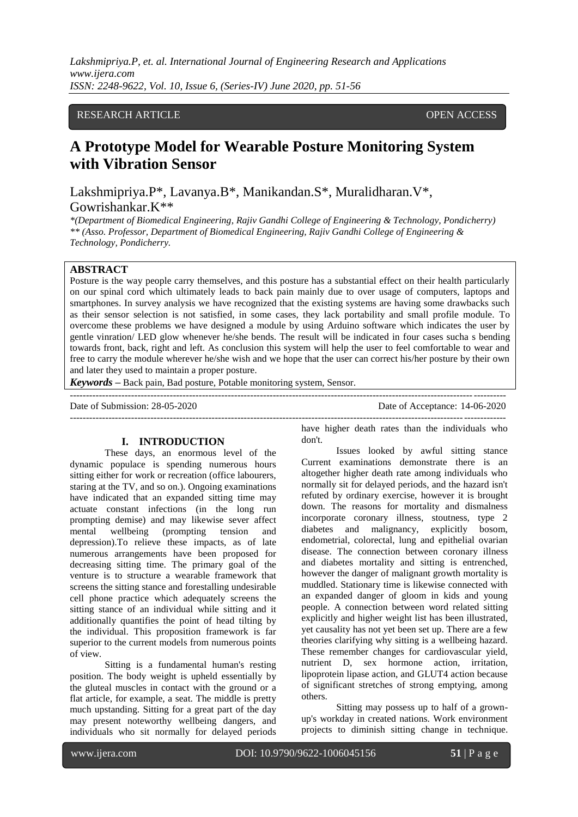*Lakshmipriya.P, et. al. International Journal of Engineering Research and Applications www.ijera.com ISSN: 2248-9622, Vol. 10, Issue 6, (Series-IV) June 2020, pp. 51-56*

# RESEARCH ARTICLE **CONSERVERS** OPEN ACCESS

# **A Prototype Model for Wearable Posture Monitoring System with Vibration Sensor**

Lakshmipriya.P\*, Lavanya.B\*, Manikandan.S\*, Muralidharan.V\*, Gowrishankar.K\*\*

*\*(Department of Biomedical Engineering, Rajiv Gandhi College of Engineering & Technology, Pondicherry) \*\* (Asso. Professor, Department of Biomedical Engineering, Rajiv Gandhi College of Engineering & Technology, Pondicherry.* 

## **ABSTRACT**

Posture is the way people carry themselves, and this posture has a substantial effect on their health particularly on our spinal cord which ultimately leads to back pain mainly due to over usage of computers, laptops and smartphones. In survey analysis we have recognized that the existing systems are having some drawbacks such as their sensor selection is not satisfied, in some cases, they lack portability and small profile module. To overcome these problems we have designed a module by using Arduino software which indicates the user by gentle vinration/ LED glow whenever he/she bends. The result will be indicated in four cases sucha s bending towards front, back, right and left. As conclusion this system will help the user to feel comfortable to wear and free to carry the module wherever he/she wish and we hope that the user can correct his/her posture by their own and later they used to maintain a proper posture.

---------------------------------------------------------------------------------------------------------------------------------------

*Keywords* **–** Back pain, Bad posture, Potable monitoring system, Sensor.

Date of Submission: 28-05-2020 Date of Acceptance: 14-06-2020

---------------------------------------------------------------------------------------------------------------------------------------

## **I. INTRODUCTION**

These days, an enormous level of the dynamic populace is spending numerous hours sitting either for work or recreation (office labourers, staring at the TV, and so on.). Ongoing examinations have indicated that an expanded sitting time may actuate constant infections (in the long run prompting demise) and may likewise sever affect mental wellbeing (prompting tension and depression).To relieve these impacts, as of late numerous arrangements have been proposed for decreasing sitting time. The primary goal of the venture is to structure a wearable framework that screens the sitting stance and forestalling undesirable cell phone practice which adequately screens the sitting stance of an individual while sitting and it additionally quantifies the point of head tilting by the individual. This proposition framework is far superior to the current models from numerous points of view.

Sitting is a fundamental human's resting position. The body weight is upheld essentially by the gluteal muscles in contact with the ground or a flat article, for example, a seat. The middle is pretty much upstanding. Sitting for a great part of the day may present noteworthy wellbeing dangers, and individuals who sit normally for delayed periods

have higher death rates than the individuals who don't.

Issues looked by awful sitting stance Current examinations demonstrate there is an altogether higher death rate among individuals who normally sit for delayed periods, and the hazard isn't refuted by ordinary exercise, however it is brought down. The reasons for mortality and dismalness incorporate coronary illness, stoutness, type 2 diabetes and malignancy, explicitly bosom. diabetes and malignancy, explicitly endometrial, colorectal, lung and epithelial ovarian disease. The connection between coronary illness and diabetes mortality and sitting is entrenched, however the danger of malignant growth mortality is muddled. Stationary time is likewise connected with an expanded danger of gloom in kids and young people. A connection between word related sitting explicitly and higher weight list has been illustrated, yet causality has not yet been set up. There are a few theories clarifying why sitting is a wellbeing hazard. These remember changes for cardiovascular yield, nutrient D, sex hormone action, irritation, lipoprotein lipase action, and GLUT4 action because of significant stretches of strong emptying, among others.

Sitting may possess up to half of a grownup's workday in created nations. Work environment projects to diminish sitting change in technique.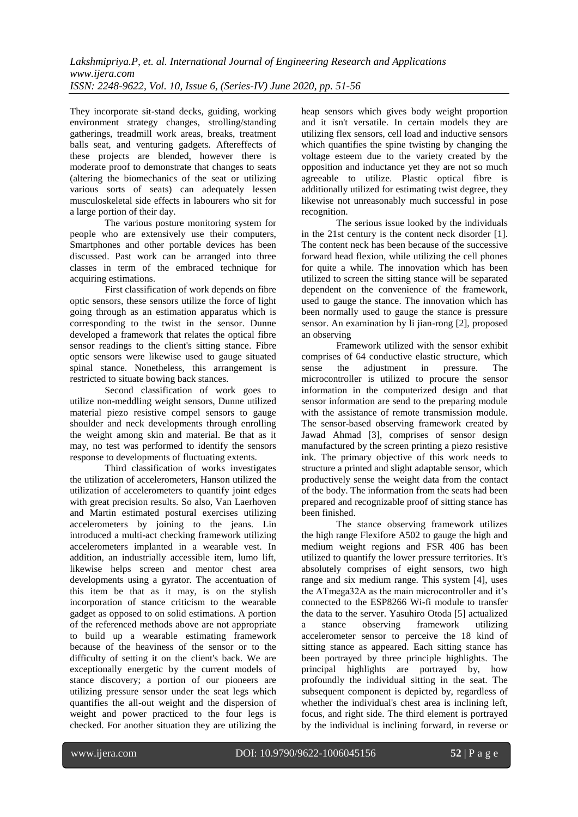They incorporate sit-stand decks, guiding, working environment strategy changes, strolling/standing gatherings, treadmill work areas, breaks, treatment balls seat, and venturing gadgets. Aftereffects of these projects are blended, however there is moderate proof to demonstrate that changes to seats (altering the biomechanics of the seat or utilizing various sorts of seats) can adequately lessen musculoskeletal side effects in labourers who sit for a large portion of their day.

The various posture monitoring system for people who are extensively use their computers, Smartphones and other portable devices has been discussed. Past work can be arranged into three classes in term of the embraced technique for acquiring estimations.

First classification of work depends on fibre optic sensors, these sensors utilize the force of light going through as an estimation apparatus which is corresponding to the twist in the sensor. Dunne developed a framework that relates the optical fibre sensor readings to the client's sitting stance. Fibre optic sensors were likewise used to gauge situated spinal stance. Nonetheless, this arrangement is restricted to situate bowing back stances.

Second classification of work goes to utilize non-meddling weight sensors, Dunne utilized material piezo resistive compel sensors to gauge shoulder and neck developments through enrolling the weight among skin and material. Be that as it may, no test was performed to identify the sensors response to developments of fluctuating extents.

Third classification of works investigates the utilization of accelerometers, Hanson utilized the utilization of accelerometers to quantify joint edges with great precision results. So also, Van Laerhoven and Martin estimated postural exercises utilizing accelerometers by joining to the jeans. Lin introduced a multi-act checking framework utilizing accelerometers implanted in a wearable vest. In addition, an industrially accessible item, lumo lift, likewise helps screen and mentor chest area developments using a gyrator. The accentuation of this item be that as it may, is on the stylish incorporation of stance criticism to the wearable gadget as opposed to on solid estimations. A portion of the referenced methods above are not appropriate to build up a wearable estimating framework because of the heaviness of the sensor or to the difficulty of setting it on the client's back. We are exceptionally energetic by the current models of stance discovery; a portion of our pioneers are utilizing pressure sensor under the seat legs which quantifies the all-out weight and the dispersion of weight and power practiced to the four legs is checked. For another situation they are utilizing the

heap sensors which gives body weight proportion and it isn't versatile. In certain models they are utilizing flex sensors, cell load and inductive sensors which quantifies the spine twisting by changing the voltage esteem due to the variety created by the opposition and inductance yet they are not so much agreeable to utilize. Plastic optical fibre is additionally utilized for estimating twist degree, they likewise not unreasonably much successful in pose recognition.

The serious issue looked by the individuals in the 21st century is the content neck disorder [1]. The content neck has been because of the successive forward head flexion, while utilizing the cell phones for quite a while. The innovation which has been utilized to screen the sitting stance will be separated dependent on the convenience of the framework, used to gauge the stance. The innovation which has been normally used to gauge the stance is pressure sensor. An examination by li jian-rong [2], proposed an observing

Framework utilized with the sensor exhibit comprises of 64 conductive elastic structure, which sense the adjustment in pressure. The microcontroller is utilized to procure the sensor information in the computerized design and that sensor information are send to the preparing module with the assistance of remote transmission module. The sensor-based observing framework created by Jawad Ahmad [3], comprises of sensor design manufactured by the screen printing a piezo resistive ink. The primary objective of this work needs to structure a printed and slight adaptable sensor, which productively sense the weight data from the contact of the body. The information from the seats had been prepared and recognizable proof of sitting stance has been finished.

The stance observing framework utilizes the high range Flexifore A502 to gauge the high and medium weight regions and FSR 406 has been utilized to quantify the lower pressure territories. It's absolutely comprises of eight sensors, two high range and six medium range. This system [4], uses the ATmega32A as the main microcontroller and it's connected to the ESP8266 Wi-fi module to transfer the data to the server. Yasuhiro Otoda [5] actualized a stance observing framework utilizing accelerometer sensor to perceive the 18 kind of sitting stance as appeared. Each sitting stance has been portrayed by three principle highlights. The principal highlights are portrayed by, how profoundly the individual sitting in the seat. The subsequent component is depicted by, regardless of whether the individual's chest area is inclining left, focus, and right side. The third element is portrayed by the individual is inclining forward, in reverse or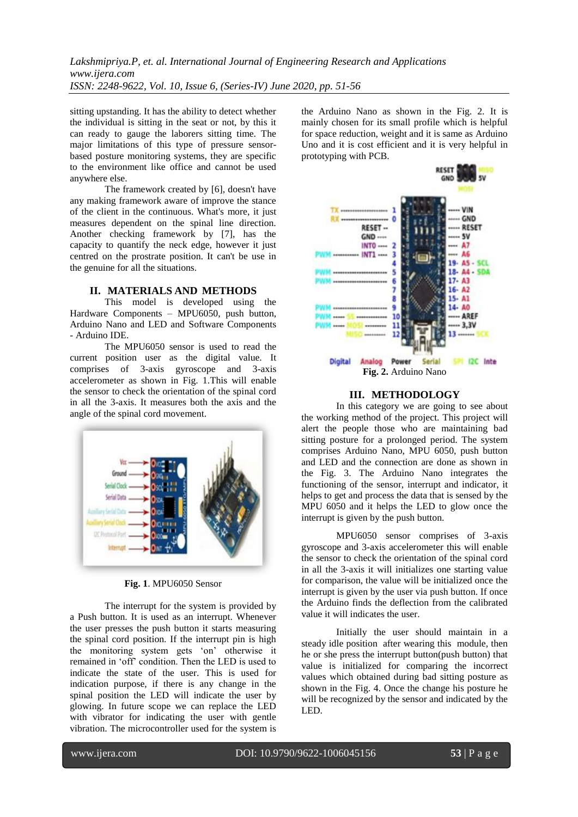*Lakshmipriya.P, et. al. International Journal of Engineering Research and Applications www.ijera.com ISSN: 2248-9622, Vol. 10, Issue 6, (Series-IV) June 2020, pp. 51-56*

sitting upstanding. It has the ability to detect whether the individual is sitting in the seat or not, by this it can ready to gauge the laborers sitting time. The major limitations of this type of pressure sensorbased posture monitoring systems, they are specific to the environment like office and cannot be used anywhere else.

The framework created by [6], doesn't have any making framework aware of improve the stance of the client in the continuous. What's more, it just measures dependent on the spinal line direction. Another checking framework by [7], has the capacity to quantify the neck edge, however it just centred on the prostrate position. It can't be use in the genuine for all the situations.

### **II. MATERIALS AND METHODS**

This model is developed using the Hardware Components – MPU6050, push button, Arduino Nano and LED and Software Components - Arduino IDE.

The MPU6050 sensor is used to read the current position user as the digital value. It comprises of 3-axis gyroscope and 3-axis accelerometer as shown in Fig. 1.This will enable the sensor to check the orientation of the spinal cord in all the 3-axis. It measures both the axis and the angle of the spinal cord movement.



**Fig. 1**. MPU6050 Sensor

The interrupt for the system is provided by a Push button. It is used as an interrupt. Whenever the user presses the push button it starts measuring the spinal cord position. If the interrupt pin is high the monitoring system gets 'on' otherwise it remained in 'off' condition. Then the LED is used to indicate the state of the user. This is used for indication purpose, if there is any change in the spinal position the LED will indicate the user by glowing. In future scope we can replace the LED with vibrator for indicating the user with gentle vibration. The microcontroller used for the system is

the Arduino Nano as shown in the Fig. 2. It is mainly chosen for its small profile which is helpful for space reduction, weight and it is same as Arduino Uno and it is cost efficient and it is very helpful in prototyping with PCB.



## **III. METHODOLOGY**

In this category we are going to see about the working method of the project. This project will alert the people those who are maintaining bad sitting posture for a prolonged period. The system comprises Arduino Nano, MPU 6050, push button and LED and the connection are done as shown in the Fig. 3. The Arduino Nano integrates the functioning of the sensor, interrupt and indicator, it helps to get and process the data that is sensed by the MPU 6050 and it helps the LED to glow once the interrupt is given by the push button.

MPU6050 sensor comprises of 3-axis gyroscope and 3-axis accelerometer this will enable the sensor to check the orientation of the spinal cord in all the 3-axis it will initializes one starting value for comparison, the value will be initialized once the interrupt is given by the user via push button. If once the Arduino finds the deflection from the calibrated value it will indicates the user.

Initially the user should maintain in a steady idle position after wearing this module, then he or she press the interrupt button(push button) that value is initialized for comparing the incorrect values which obtained during bad sitting posture as shown in the Fig. 4. Once the change his posture he will be recognized by the sensor and indicated by the LED.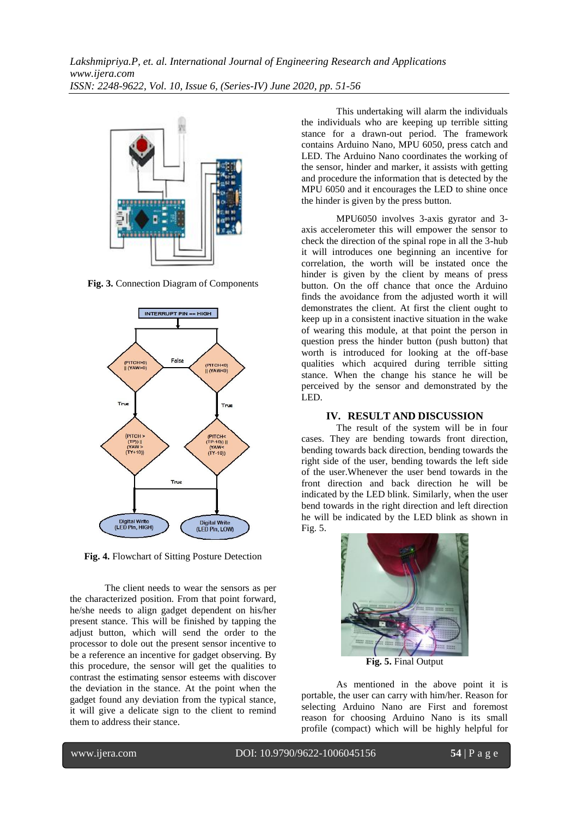

**Fig. 3.** Connection Diagram of Components



**Fig. 4.** Flowchart of Sitting Posture Detection

The client needs to wear the sensors as per the characterized position. From that point forward, he/she needs to align gadget dependent on his/her present stance. This will be finished by tapping the adjust button, which will send the order to the processor to dole out the present sensor incentive to be a reference an incentive for gadget observing. By this procedure, the sensor will get the qualities to contrast the estimating sensor esteems with discover the deviation in the stance. At the point when the gadget found any deviation from the typical stance, it will give a delicate sign to the client to remind them to address their stance.

This undertaking will alarm the individuals the individuals who are keeping up terrible sitting stance for a drawn-out period. The framework contains Arduino Nano, MPU 6050, press catch and LED. The Arduino Nano coordinates the working of the sensor, hinder and marker, it assists with getting and procedure the information that is detected by the MPU 6050 and it encourages the LED to shine once the hinder is given by the press button.

MPU6050 involves 3-axis gyrator and 3 axis accelerometer this will empower the sensor to check the direction of the spinal rope in all the 3-hub it will introduces one beginning an incentive for correlation, the worth will be instated once the hinder is given by the client by means of press button. On the off chance that once the Arduino finds the avoidance from the adjusted worth it will demonstrates the client. At first the client ought to keep up in a consistent inactive situation in the wake of wearing this module, at that point the person in question press the hinder button (push button) that worth is introduced for looking at the off-base qualities which acquired during terrible sitting stance. When the change his stance he will be perceived by the sensor and demonstrated by the LED.

#### **IV. RESULT AND DISCUSSION**

The result of the system will be in four cases. They are bending towards front direction, bending towards back direction, bending towards the right side of the user, bending towards the left side of the user.Whenever the user bend towards in the front direction and back direction he will be indicated by the LED blink. Similarly, when the user bend towards in the right direction and left direction he will be indicated by the LED blink as shown in Fig. 5.



**Fig. 5.** Final Output

As mentioned in the above point it is portable, the user can carry with him/her. Reason for selecting Arduino Nano are First and foremost reason for choosing Arduino Nano is its small profile (compact) which will be highly helpful for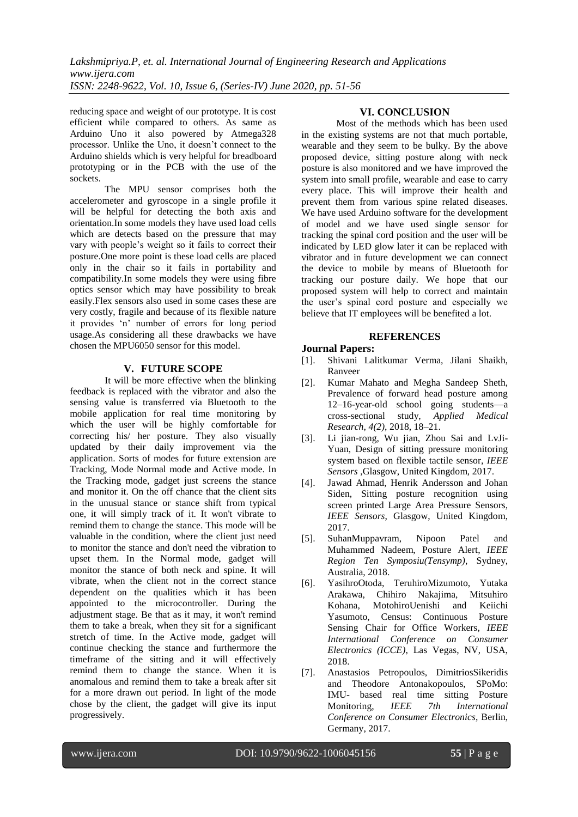reducing space and weight of our prototype. It is cost efficient while compared to others. As same as Arduino Uno it also powered by Atmega328 processor. Unlike the Uno, it doesn't connect to the Arduino shields which is very helpful for breadboard prototyping or in the PCB with the use of the sockets.

The MPU sensor comprises both the accelerometer and gyroscope in a single profile it will be helpful for detecting the both axis and orientation.In some models they have used load cells which are detects based on the pressure that may vary with people's weight so it fails to correct their posture.One more point is these load cells are placed only in the chair so it fails in portability and compatibility.In some models they were using fibre optics sensor which may have possibility to break easily.Flex sensors also used in some cases these are very costly, fragile and because of its flexible nature it provides ‗n' number of errors for long period usage.As considering all these drawbacks we have chosen the MPU6050 sensor for this model.

# **V. FUTURE SCOPE**

It will be more effective when the blinking feedback is replaced with the vibrator and also the sensing value is transferred via Bluetooth to the mobile application for real time monitoring by which the user will be highly comfortable for correcting his/ her posture. They also visually updated by their daily improvement via the application. Sorts of modes for future extension are Tracking, Mode Normal mode and Active mode. In the Tracking mode, gadget just screens the stance and monitor it. On the off chance that the client sits in the unusual stance or stance shift from typical one, it will simply track of it. It won't vibrate to remind them to change the stance. This mode will be valuable in the condition, where the client just need to monitor the stance and don't need the vibration to upset them. In the Normal mode, gadget will monitor the stance of both neck and spine. It will vibrate, when the client not in the correct stance dependent on the qualities which it has been appointed to the microcontroller. During the adjustment stage. Be that as it may, it won't remind them to take a break, when they sit for a significant stretch of time. In the Active mode, gadget will continue checking the stance and furthermore the timeframe of the sitting and it will effectively remind them to change the stance. When it is anomalous and remind them to take a break after sit for a more drawn out period. In light of the mode chose by the client, the gadget will give its input progressively.

## **VI. CONCLUSION**

Most of the methods which has been used in the existing systems are not that much portable, wearable and they seem to be bulky. By the above proposed device, sitting posture along with neck posture is also monitored and we have improved the system into small profile, wearable and ease to carry every place. This will improve their health and prevent them from various spine related diseases. We have used Arduino software for the development of model and we have used single sensor for tracking the spinal cord position and the user will be indicated by LED glow later it can be replaced with vibrator and in future development we can connect the device to mobile by means of Bluetooth for tracking our posture daily. We hope that our proposed system will help to correct and maintain the user's spinal cord posture and especially we believe that IT employees will be benefited a lot.

## **REFERENCES**

# **Journal Papers:**

- [1]. Shivani Lalitkumar Verma, Jilani Shaikh, Ranveer
- [2]. Kumar Mahato and Megha Sandeep Sheth, Prevalence of forward head posture among 12–16-year-old school going students—a cross-sectional study, *Applied Medical Research*, *4(2)*, 2018, 18–21.
- [3]. Li jian-rong, Wu jian, Zhou Sai and LvJi-Yuan, Design of sitting pressure monitoring system based on flexible tactile sensor, *IEEE Sensors* ,Glasgow, United Kingdom, 2017.
- [4]. Jawad Ahmad, Henrik Andersson and Johan Siden, Sitting posture recognition using screen printed Large Area Pressure Sensors, *IEEE Sensors*, Glasgow, United Kingdom, 2017.
- [5]. SuhanMuppavram, Nipoon Patel and Muhammed Nadeem, Posture Alert, *IEEE Region Ten Symposiu(Tensymp)*, Sydney, Australia, 2018.
- [6]. YasihroOtoda, TeruhiroMizumoto, Yutaka Arakawa, Chihiro Nakajima, Mitsuhiro Kohana, MotohiroUenishi and Keiichi Yasumoto, Census: Continuous Posture Sensing Chair for Office Workers, *IEEE International Conference on Consumer Electronics (ICCE)*, Las Vegas, NV, USA, 2018.
- [7]. Anastasios Petropoulos, DimitriosSikeridis and Theodore Antonakopoulos, SPoMo: IMU- based real time sitting Posture Monitoring, *IEEE 7th International Conference on Consumer Electronics*, Berlin, Germany, 2017.